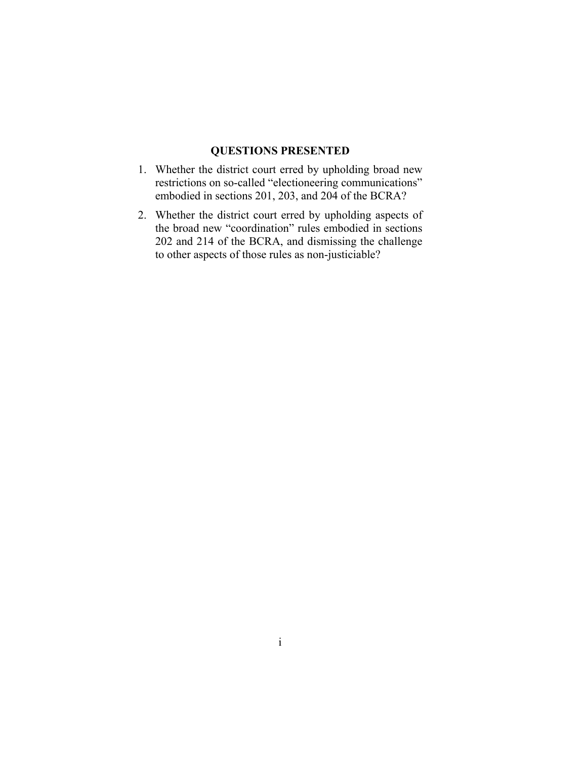#### **QUESTIONS PRESENTED**

- 1. Whether the district court erred by upholding broad new restrictions on so-called "electioneering communications" embodied in sections 201, 203, and 204 of the BCRA?
- 2. Whether the district court erred by upholding aspects of the broad new "coordination" rules embodied in sections 202 and 214 of the BCRA, and dismissing the challenge to other aspects of those rules as non-justiciable?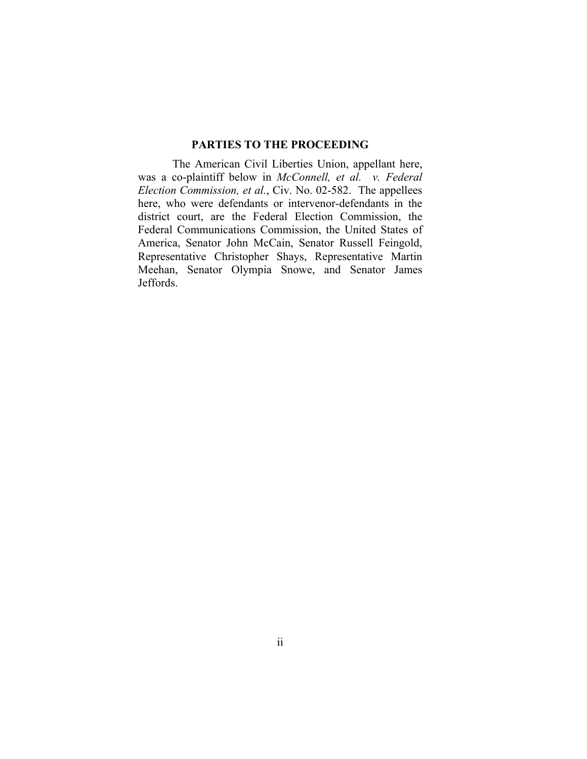#### **PARTIES TO THE PROCEEDING**

The American Civil Liberties Union, appellant here, was a co-plaintiff below in *McConnell, et al. v. Federal Election Commission, et al.*, Civ. No. 02-582. The appellees here, who were defendants or intervenor-defendants in the district court, are the Federal Election Commission, the Federal Communications Commission, the United States of America, Senator John McCain, Senator Russell Feingold, Representative Christopher Shays, Representative Martin Meehan, Senator Olympia Snowe, and Senator James Jeffords.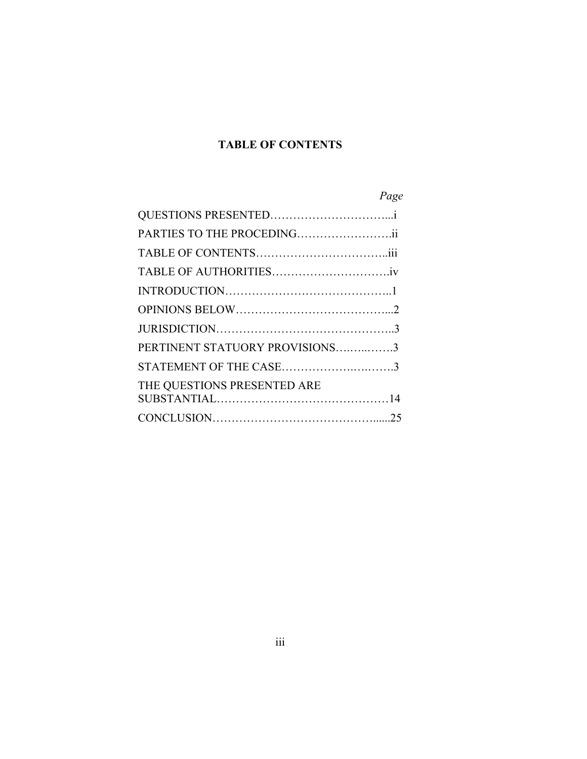## **TABLE OF CONTENTS**

# *Page*

| PARTIES TO THE PROCEDINGii     |  |
|--------------------------------|--|
|                                |  |
|                                |  |
|                                |  |
|                                |  |
|                                |  |
| PERTINENT STATUORY PROVISIONS3 |  |
| STATEMENT OF THE CASE3         |  |
| THE QUESTIONS PRESENTED ARE    |  |
|                                |  |
|                                |  |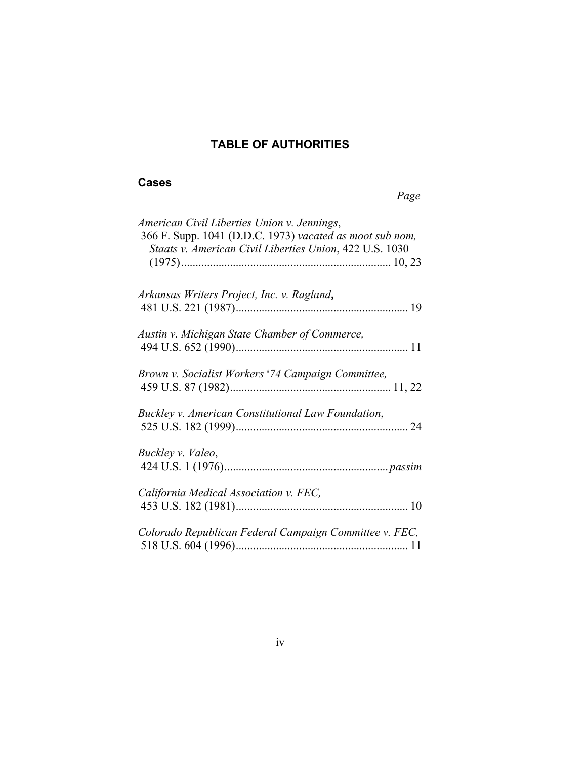## **TABLE OF AUTHORITIES**

### **Cases**

#### *Page*

| American Civil Liberties Union v. Jennings,<br>366 F. Supp. 1041 (D.D.C. 1973) vacated as moot sub nom,<br>Staats v. American Civil Liberties Union, 422 U.S. 1030 |
|--------------------------------------------------------------------------------------------------------------------------------------------------------------------|
| Arkansas Writers Project, Inc. v. Ragland,                                                                                                                         |
| Austin v. Michigan State Chamber of Commerce,                                                                                                                      |
| Brown v. Socialist Workers '74 Campaign Committee,                                                                                                                 |
| Buckley v. American Constitutional Law Foundation,                                                                                                                 |
| Buckley v. Valeo,                                                                                                                                                  |
| California Medical Association v. FEC,                                                                                                                             |
| Colorado Republican Federal Campaign Committee v. FEC,                                                                                                             |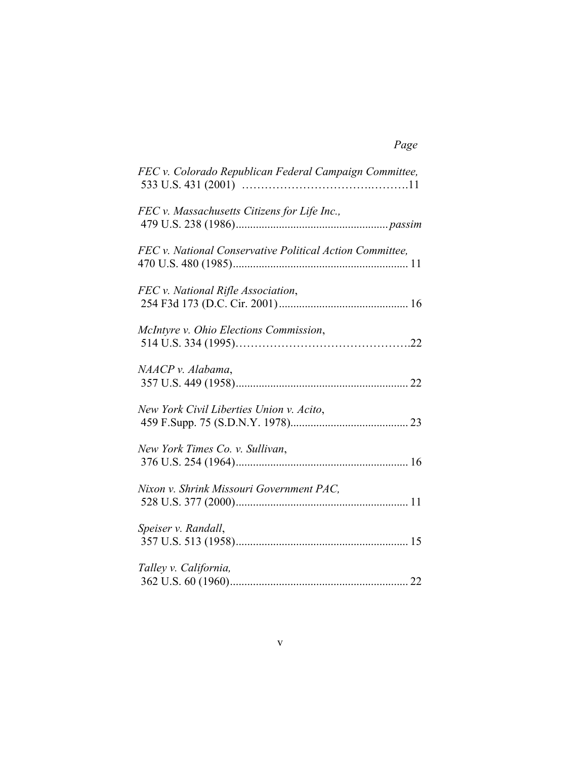| FEC v. Colorado Republican Federal Campaign Committee,   |  |
|----------------------------------------------------------|--|
| FEC v. Massachusetts Citizens for Life Inc.,             |  |
| FEC v. National Conservative Political Action Committee, |  |
| FEC v. National Rifle Association,                       |  |
| McIntyre v. Ohio Elections Commission,                   |  |
| NAACP v. Alabama,                                        |  |
| New York Civil Liberties Union v. Acito,                 |  |
| New York Times Co. v. Sullivan,                          |  |
| Nixon v. Shrink Missouri Government PAC,                 |  |
| Speiser v. Randall,                                      |  |
| Talley v. California,                                    |  |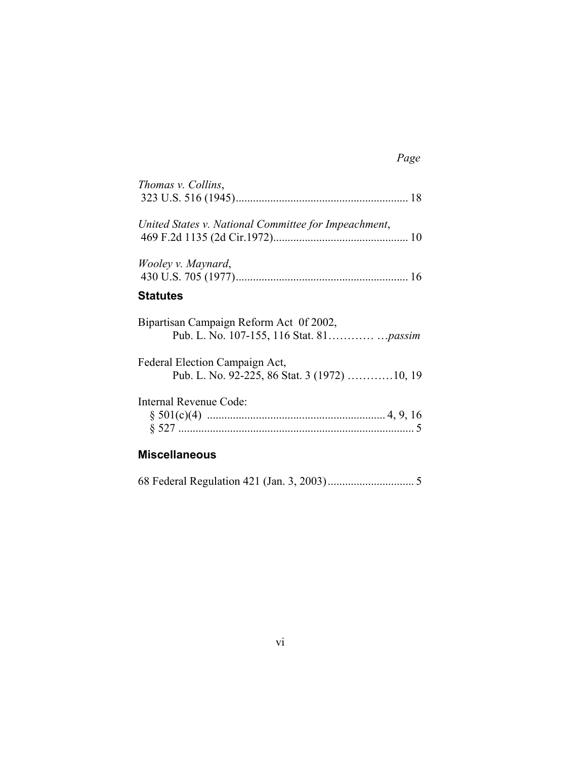# *Page*

| Thomas v. Collins,                                   |  |
|------------------------------------------------------|--|
|                                                      |  |
| United States v. National Committee for Impeachment, |  |
|                                                      |  |
| Wooley v. Maynard,                                   |  |
|                                                      |  |
| <b>Statutes</b>                                      |  |
| Bipartisan Campaign Reform Act 0f 2002,              |  |
| Federal Election Campaign Act,                       |  |
| Pub. L. No. 92-225, 86 Stat. 3 (1972) 10, 19         |  |
| Internal Revenue Code:                               |  |
|                                                      |  |
|                                                      |  |
|                                                      |  |

### **Miscellaneous**

68 Federal Regulation 421 (Jan. 3, 2003).............................. 5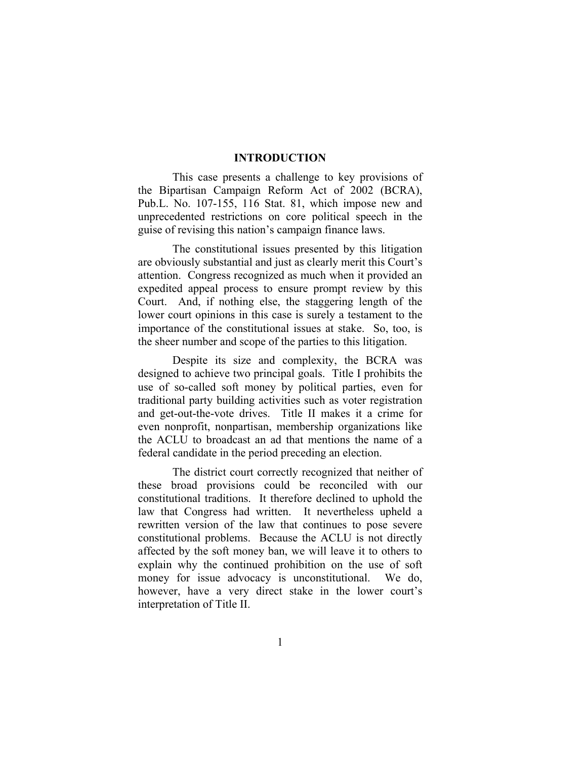#### **INTRODUCTION**

This case presents a challenge to key provisions of the Bipartisan Campaign Reform Act of 2002 (BCRA), Pub.L. No. 107-155, 116 Stat. 81, which impose new and unprecedented restrictions on core political speech in the guise of revising this nation's campaign finance laws.

The constitutional issues presented by this litigation are obviously substantial and just as clearly merit this Court's attention. Congress recognized as much when it provided an expedited appeal process to ensure prompt review by this Court. And, if nothing else, the staggering length of the lower court opinions in this case is surely a testament to the importance of the constitutional issues at stake. So, too, is the sheer number and scope of the parties to this litigation.

Despite its size and complexity, the BCRA was designed to achieve two principal goals. Title I prohibits the use of so-called soft money by political parties, even for traditional party building activities such as voter registration and get-out-the-vote drives. Title II makes it a crime for even nonprofit, nonpartisan, membership organizations like the ACLU to broadcast an ad that mentions the name of a federal candidate in the period preceding an election.

The district court correctly recognized that neither of these broad provisions could be reconciled with our constitutional traditions. It therefore declined to uphold the law that Congress had written. It nevertheless upheld a rewritten version of the law that continues to pose severe constitutional problems. Because the ACLU is not directly affected by the soft money ban, we will leave it to others to explain why the continued prohibition on the use of soft money for issue advocacy is unconstitutional. We do, however, have a very direct stake in the lower court's interpretation of Title II.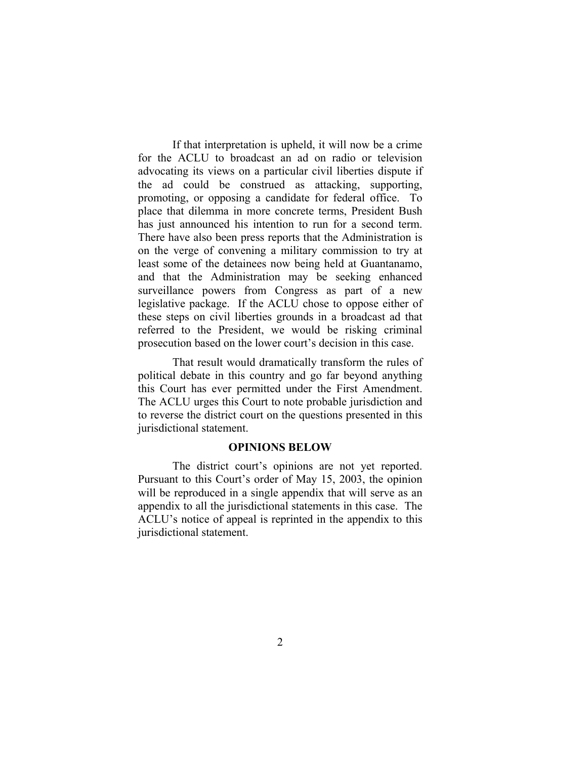If that interpretation is upheld, it will now be a crime for the ACLU to broadcast an ad on radio or television advocating its views on a particular civil liberties dispute if the ad could be construed as attacking, supporting, promoting, or opposing a candidate for federal office. To place that dilemma in more concrete terms, President Bush has just announced his intention to run for a second term. There have also been press reports that the Administration is on the verge of convening a military commission to try at least some of the detainees now being held at Guantanamo, and that the Administration may be seeking enhanced surveillance powers from Congress as part of a new legislative package. If the ACLU chose to oppose either of these steps on civil liberties grounds in a broadcast ad that referred to the President, we would be risking criminal prosecution based on the lower court's decision in this case.

That result would dramatically transform the rules of political debate in this country and go far beyond anything this Court has ever permitted under the First Amendment. The ACLU urges this Court to note probable jurisdiction and to reverse the district court on the questions presented in this jurisdictional statement.

#### **OPINIONS BELOW**

The district court's opinions are not yet reported. Pursuant to this Court's order of May 15, 2003, the opinion will be reproduced in a single appendix that will serve as an appendix to all the jurisdictional statements in this case. The ACLU's notice of appeal is reprinted in the appendix to this jurisdictional statement.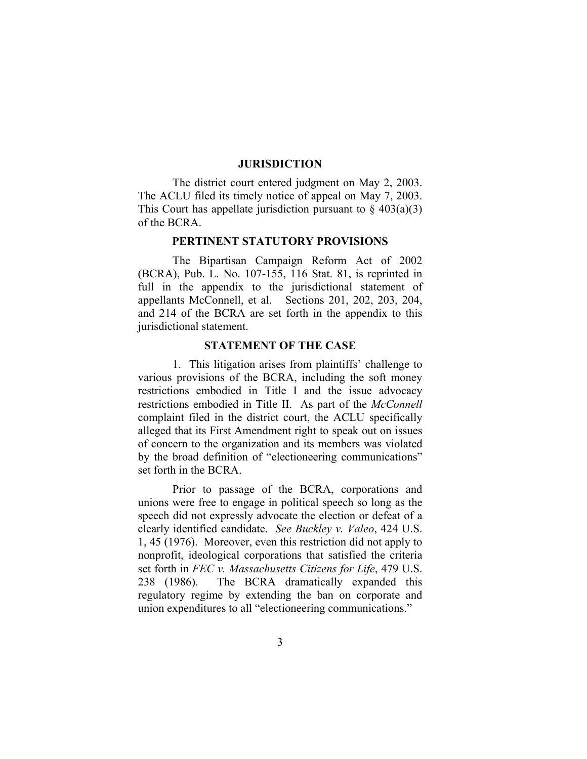#### **JURISDICTION**

The district court entered judgment on May 2, 2003. The ACLU filed its timely notice of appeal on May 7, 2003. This Court has appellate jurisdiction pursuant to  $\S$  403(a)(3) of the BCRA.

#### **PERTINENT STATUTORY PROVISIONS**

The Bipartisan Campaign Reform Act of 2002 (BCRA), Pub. L. No. 107-155, 116 Stat. 81, is reprinted in full in the appendix to the jurisdictional statement of appellants McConnell, et al. Sections 201, 202, 203, 204, and 214 of the BCRA are set forth in the appendix to this jurisdictional statement.

#### **STATEMENT OF THE CASE**

1. This litigation arises from plaintiffs' challenge to various provisions of the BCRA, including the soft money restrictions embodied in Title I and the issue advocacy restrictions embodied in Title II. As part of the *McConnell*  complaint filed in the district court, the ACLU specifically alleged that its First Amendment right to speak out on issues of concern to the organization and its members was violated by the broad definition of "electioneering communications" set forth in the BCRA.

Prior to passage of the BCRA, corporations and unions were free to engage in political speech so long as the speech did not expressly advocate the election or defeat of a clearly identified candidate. *See Buckley v. Valeo*, 424 U.S. 1, 45 (1976). Moreover, even this restriction did not apply to nonprofit, ideological corporations that satisfied the criteria set forth in *FEC v. Massachusetts Citizens for Life*, 479 U.S. 238 (1986). The BCRA dramatically expanded this regulatory regime by extending the ban on corporate and union expenditures to all "electioneering communications."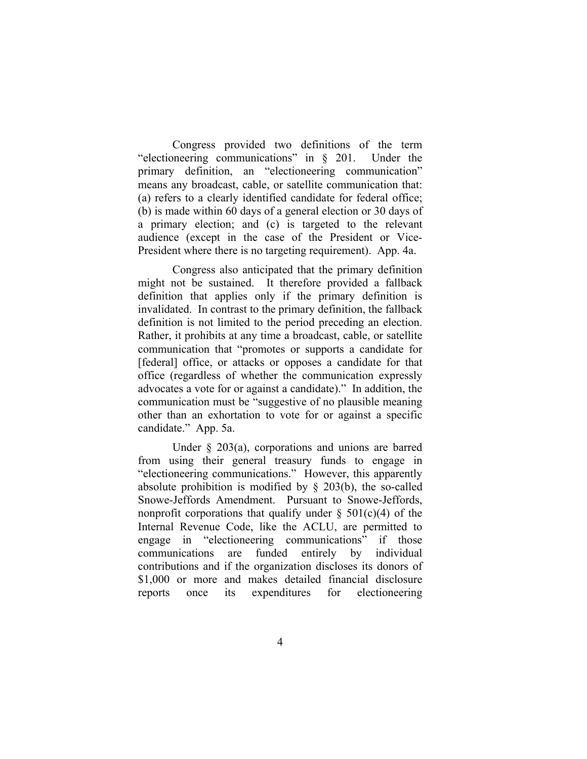Congress provided two definitions of the term "electioneering communications" in § 201. Under the primary definition, an "electioneering communication" means any broadcast, cable, or satellite communication that: (a) refers to a clearly identified candidate for federal office; (b) is made within 60 days of a general election or 30 days of a primary election; and (c) is targeted to the relevant audience (except in the case of the President or Vice-President where there is no targeting requirement). App. 4a.

Congress also anticipated that the primary definition might not be sustained. It therefore provided a fallback definition that applies only if the primary definition is invalidated. In contrast to the primary definition, the fallback definition is not limited to the period preceding an election. Rather, it prohibits at any time a broadcast, cable, or satellite communication that "promotes or supports a candidate for [federal] office, or attacks or opposes a candidate for that office (regardless of whether the communication expressly advocates a vote for or against a candidate)." In addition, the communication must be "suggestive of no plausible meaning other than an exhortation to vote for or against a specific candidate." App. 5a.

Under § 203(a), corporations and unions are barred from using their general treasury funds to engage in "electioneering communications." However, this apparently absolute prohibition is modified by  $\S$  203(b), the so-called Snowe-Jeffords Amendment. Pursuant to Snowe-Jeffords, nonprofit corporations that qualify under  $\S$  501(c)(4) of the Internal Revenue Code, like the ACLU, are permitted to engage in "electioneering communications" if those communications are funded entirely by individual contributions and if the organization discloses its donors of \$1,000 or more and makes detailed financial disclosure reports once its expenditures for electioneering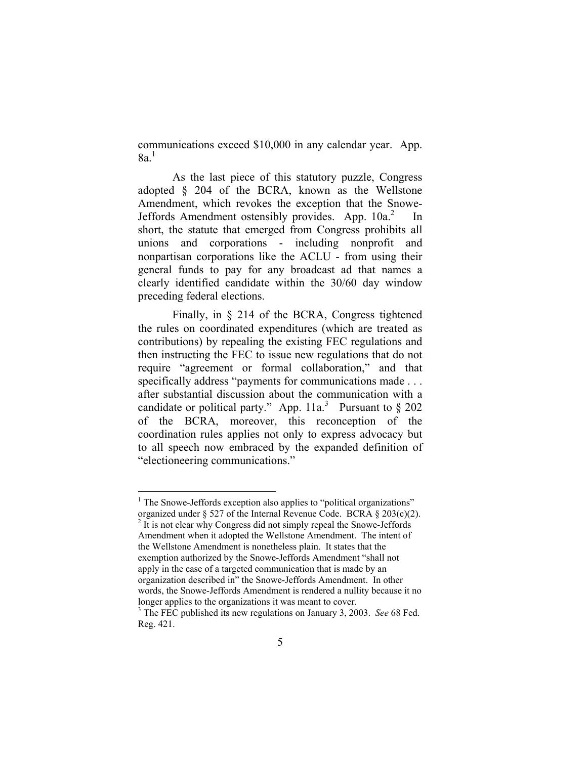communications exceed \$10,000 in any calendar year. App.  $8a<sup>1</sup>$ 

As the last piece of this statutory puzzle, Congress adopted § 204 of the BCRA, known as the Wellstone Amendment, which revokes the exception that the Snowe-Jeffords Amendment ostensibly provides. App.  $10a<sup>2</sup>$  $10a<sup>2</sup>$  $10a<sup>2</sup>$  In short, the statute that emerged from Congress prohibits all unions and corporations - including nonprofit and nonpartisan corporations like the ACLU - from using their general funds to pay for any broadcast ad that names a clearly identified candidate within the 30/60 day window preceding federal elections.

Finally, in § 214 of the BCRA, Congress tightened the rules on coordinated expenditures (which are treated as contributions) by repealing the existing FEC regulations and then instructing the FEC to issue new regulations that do not require "agreement or formal collaboration," and that specifically address "payments for communications made . . . after substantial discussion about the communication with a candidate or political party." App.  $11a$ <sup>[3](#page-10-2)</sup> Pursuant to § 202 of the BCRA, moreover, this reconception of the coordination rules applies not only to express advocacy but to all speech now embraced by the expanded definition of "electioneering communications."

<span id="page-10-0"></span><sup>&</sup>lt;sup>1</sup> The Snowe-Jeffords exception also applies to "political organizations" organized under § 527 of the Internal Revenue Code. BCRA § 203(c)(2).

<span id="page-10-1"></span> $<sup>2</sup>$  It is not clear why Congress did not simply repeal the Snowe-Jeffords</sup> Amendment when it adopted the Wellstone Amendment. The intent of the Wellstone Amendment is nonetheless plain. It states that the exemption authorized by the Snowe-Jeffords Amendment "shall not apply in the case of a targeted communication that is made by an organization described in" the Snowe-Jeffords Amendment. In other words, the Snowe-Jeffords Amendment is rendered a nullity because it no longer applies to the organizations it was meant to cover.

<span id="page-10-2"></span>The FEC published its new regulations on January 3, 2003. *See* 68 Fed. Reg. 421.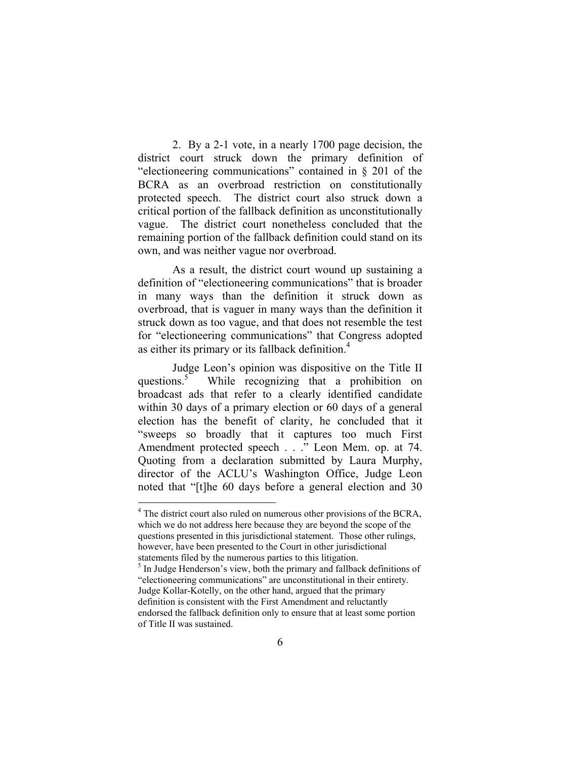2. By a 2-1 vote, in a nearly 1700 page decision, the district court struck down the primary definition of "electioneering communications" contained in § 201 of the BCRA as an overbroad restriction on constitutionally protected speech. The district court also struck down a critical portion of the fallback definition as unconstitutionally vague. The district court nonetheless concluded that the remaining portion of the fallback definition could stand on its own, and was neither vague nor overbroad.

As a result, the district court wound up sustaining a definition of "electioneering communications" that is broader in many ways than the definition it struck down as overbroad, that is vaguer in many ways than the definition it struck down as too vague, and that does not resemble the test for "electioneering communications" that Congress adopted as either its primary or its fallback definition.[4](#page-11-0)

Judge Leon's opinion was dispositive on the Title II questions.<sup>5</sup> While recognizing that a prohibition on broadcast ads that refer to a clearly identified candidate within 30 days of a primary election or 60 days of a general election has the benefit of clarity, he concluded that it "sweeps so broadly that it captures too much First Amendment protected speech . . ." Leon Mem. op. at 74. Quoting from a declaration submitted by Laura Murphy, director of the ACLU's Washington Office, Judge Leon noted that "[t]he 60 days before a general election and 30

<span id="page-11-0"></span><sup>&</sup>lt;sup>4</sup> The district court also ruled on numerous other provisions of the BCRA, which we do not address here because they are beyond the scope of the questions presented in this jurisdictional statement. Those other rulings, however, have been presented to the Court in other jurisdictional statements filed by the numerous parties to this litigation.

<span id="page-11-1"></span> $<sup>5</sup>$  In Judge Henderson's view, both the primary and fallback definitions of</sup> "electioneering communications" are unconstitutional in their entirety. Judge Kollar-Kotelly, on the other hand, argued that the primary definition is consistent with the First Amendment and reluctantly endorsed the fallback definition only to ensure that at least some portion of Title II was sustained.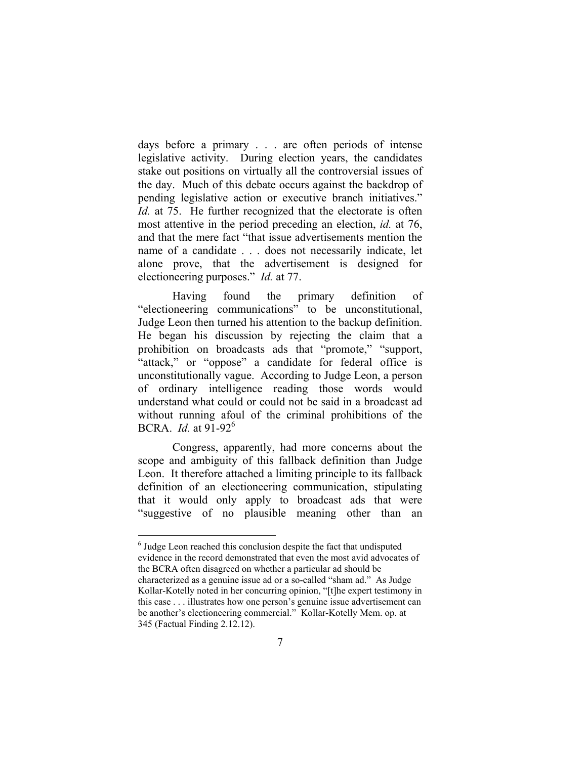days before a primary . . . are often periods of intense legislative activity. During election years, the candidates stake out positions on virtually all the controversial issues of the day. Much of this debate occurs against the backdrop of pending legislative action or executive branch initiatives." *Id.* at 75. He further recognized that the electorate is often most attentive in the period preceding an election, *id.* at 76, and that the mere fact "that issue advertisements mention the name of a candidate . . . does not necessarily indicate, let alone prove, that the advertisement is designed for electioneering purposes." *Id.* at 77.

Having found the primary definition of "electioneering communications" to be unconstitutional, Judge Leon then turned his attention to the backup definition. He began his discussion by rejecting the claim that a prohibition on broadcasts ads that "promote," "support, "attack," or "oppose" a candidate for federal office is unconstitutionally vague. According to Judge Leon, a person of ordinary intelligence reading those words would understand what could or could not be said in a broadcast ad without running afoul of the criminal prohibitions of the BCRA. *Id.* at 91-92[6](#page-12-0)

Congress, apparently, had more concerns about the scope and ambiguity of this fallback definition than Judge Leon. It therefore attached a limiting principle to its fallback definition of an electioneering communication, stipulating that it would only apply to broadcast ads that were "suggestive of no plausible meaning other than an

1

<span id="page-12-0"></span><sup>&</sup>lt;sup>6</sup> Judge Leon reached this conclusion despite the fact that undisputed evidence in the record demonstrated that even the most avid advocates of the BCRA often disagreed on whether a particular ad should be characterized as a genuine issue ad or a so-called "sham ad." As Judge Kollar-Kotelly noted in her concurring opinion, "[t]he expert testimony in this case . . . illustrates how one person's genuine issue advertisement can be another's electioneering commercial." Kollar-Kotelly Mem. op. at 345 (Factual Finding 2.12.12).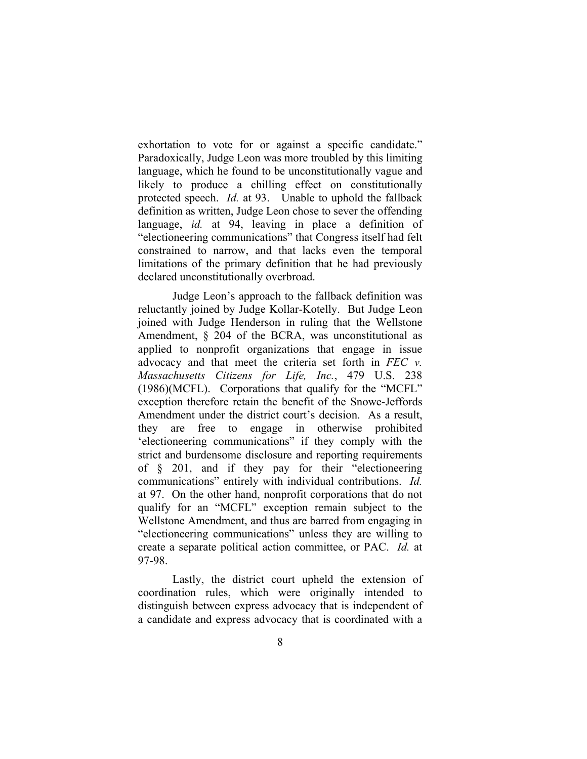exhortation to vote for or against a specific candidate." Paradoxically, Judge Leon was more troubled by this limiting language, which he found to be unconstitutionally vague and likely to produce a chilling effect on constitutionally protected speech. *Id.* at 93.Unable to uphold the fallback definition as written, Judge Leon chose to sever the offending language, *id.* at 94, leaving in place a definition of "electioneering communications" that Congress itself had felt constrained to narrow, and that lacks even the temporal limitations of the primary definition that he had previously declared unconstitutionally overbroad.

Judge Leon's approach to the fallback definition was reluctantly joined by Judge Kollar-Kotelly. But Judge Leon joined with Judge Henderson in ruling that the Wellstone Amendment, § 204 of the BCRA, was unconstitutional as applied to nonprofit organizations that engage in issue advocacy and that meet the criteria set forth in *FEC v. Massachusetts Citizens for Life, Inc.*, 479 U.S. 238 (1986)(MCFL). Corporations that qualify for the "MCFL" exception therefore retain the benefit of the Snowe-Jeffords Amendment under the district court's decision. As a result, they are free to engage in otherwise prohibited 'electioneering communications" if they comply with the strict and burdensome disclosure and reporting requirements of § 201, and if they pay for their "electioneering communications" entirely with individual contributions. *Id.* at 97. On the other hand, nonprofit corporations that do not qualify for an "MCFL" exception remain subject to the Wellstone Amendment, and thus are barred from engaging in "electioneering communications" unless they are willing to create a separate political action committee, or PAC. *Id.* at 97-98.

Lastly, the district court upheld the extension of coordination rules, which were originally intended to distinguish between express advocacy that is independent of a candidate and express advocacy that is coordinated with a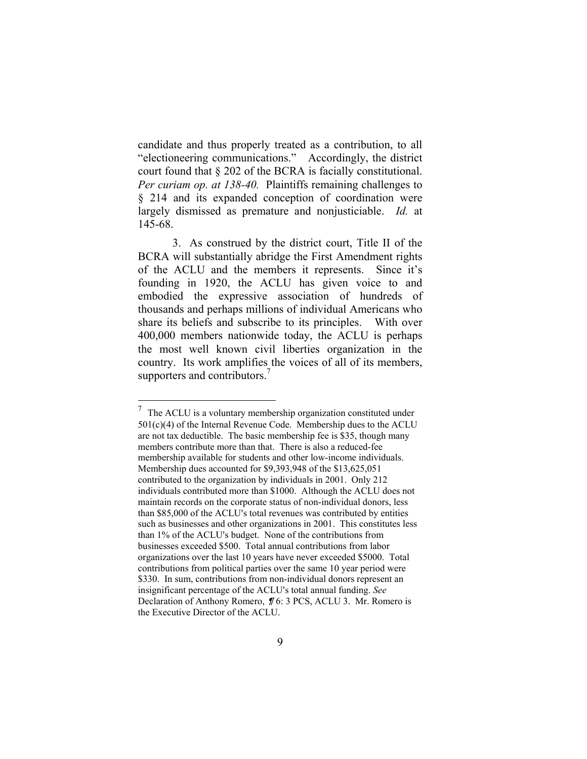candidate and thus properly treated as a contribution, to all "electioneering communications." Accordingly, the district court found that § 202 of the BCRA is facially constitutional. *Per curiam op. at 138-40.*Plaintiffs remaining challenges to § 214 and its expanded conception of coordination were largely dismissed as premature and nonjusticiable. *Id.* at 145-68.

3. As construed by the district court, Title II of the BCRA will substantially abridge the First Amendment rights of the ACLU and the members it represents. Since it's founding in 1920, the ACLU has given voice to and embodied the expressive association of hundreds of thousands and perhaps millions of individual Americans who share its beliefs and subscribe to its principles. With over 400,000 members nationwide today, the ACLU is perhaps the most well known civil liberties organization in the country. Its work amplifies the voices of all of its members, supporters and contributors.<sup>7</sup>

<span id="page-14-0"></span><sup>&</sup>lt;sup>7</sup> The ACLU is a voluntary membership organization constituted under  $501(c)(4)$  of the Internal Revenue Code. Membership dues to the ACLU are not tax deductible. The basic membership fee is \$35, though many members contribute more than that. There is also a reduced-fee membership available for students and other low-income individuals. Membership dues accounted for \$9,393,948 of the \$13,625,051 contributed to the organization by individuals in 2001. Only 212 individuals contributed more than \$1000. Although the ACLU does not maintain records on the corporate status of non-individual donors, less than \$85,000 of the ACLU's total revenues was contributed by entities such as businesses and other organizations in 2001. This constitutes less than 1% of the ACLU's budget. None of the contributions from businesses exceeded \$500. Total annual contributions from labor organizations over the last 10 years have never exceeded \$5000. Total contributions from political parties over the same 10 year period were \$330. In sum, contributions from non-individual donors represent an insignificant percentage of the ACLU's total annual funding. See Declaration of Anthony Romero,  $\sqrt{7}$  6: 3 PCS, ACLU 3. Mr. Romero is the Executive Director of the ACLU.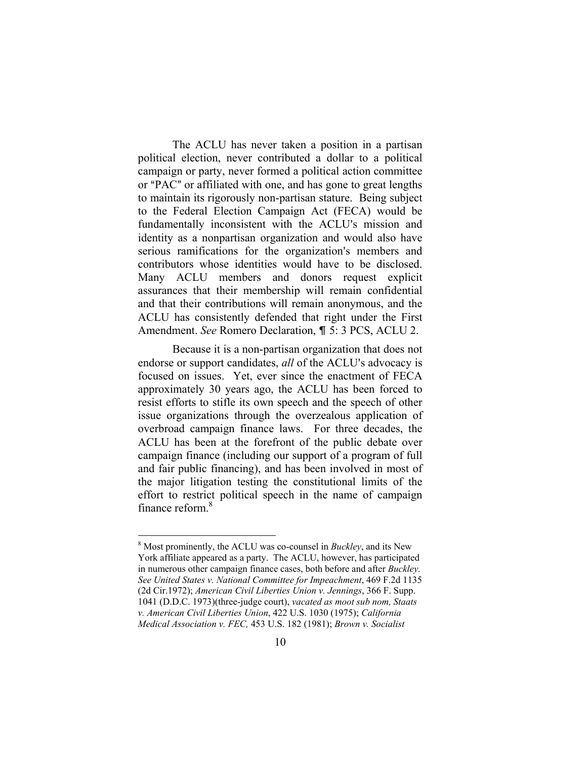<span id="page-15-0"></span>The ACLU has never taken a position in a partisan political election, never contributed a dollar to a political campaign or party, never formed a political action committee or "PAC" or affiliated with one, and has gone to great lengths to maintain its rigorously non-partisan stature. Being subject to the Federal Election Campaign Act (FECA) would be fundamentally inconsistent with the ACLU's mission and identity as a nonpartisan organization and would also have serious ramifications for the organization's members and contributors whose identities would have to be disclosed. Many ACLU members and donors request explicit assurances that their membership will remain confidential and that their contributions will remain anonymous, and the ACLU has consistently defended that right under the First Amendment. *See* Romero Declaration, ¶ 5: 3 PCS, ACLU 2.

Because it is a non-partisan organization that does not endorse or support candidates, *all* of the ACLU's advocacy is focused on issues. Yet, ever since the enactment of FECA approximately 30 years ago, the ACLU has been forced to resist efforts to stifle its own speech and the speech of other issue organizations through the overzealous application of overbroad campaign finance laws. For three decades, the ACLU has been at the forefront of the public debate over campaign finance (including our support of a program of full and fair public financing), and has been involved in most of the major litigation testing the constitutional limits of the effort to restrict political speech in the name of campaign finance reform.[8](#page-15-0)

<sup>8</sup> Most prominently, the ACLU was co-counsel in *Buckley*, and its New York affiliate appeared as a party. The ACLU, however, has participated in numerous other campaign finance cases, both before and after *Buckley. See United States v. National Committee for Impeachment*, 469 F.2d 1135 (2d Cir.1972); *American Civil Liberties Union v. Jennings*, 366 F. Supp. 1041 (D.D.C. 1973)(three-judge court), *vacated as moot sub nom, Staats v. American Civil Liberties Union*, 422 U.S. 1030 (1975); *California Medical Association v. FEC,* 453 U.S. 182 (1981); *Brown v. Socialist*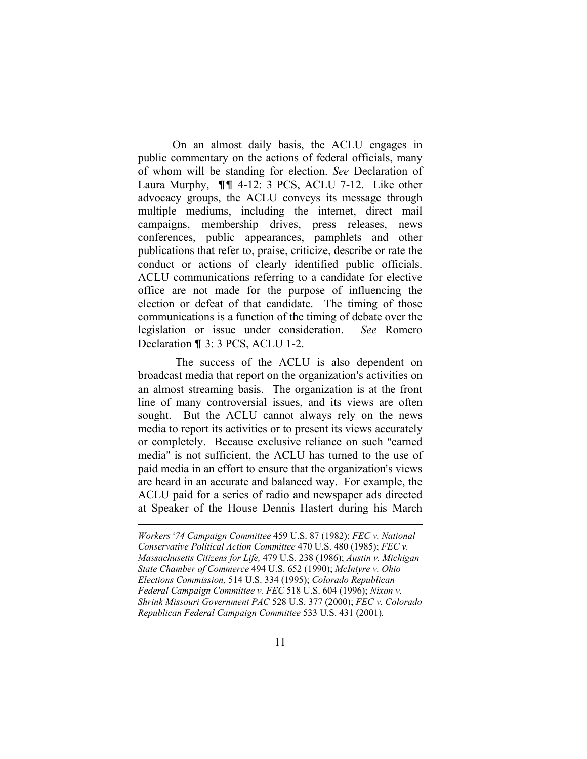On an almost daily basis, the ACLU engages in public commentary on the actions of federal officials, many of whom will be standing for election. *See* Declaration of Laura Murphy,  $\P\P$  4-12: 3 PCS, ACLU 7-12. Like other advocacy groups, the ACLU conveys its message through multiple mediums, including the internet, direct mail campaigns, membership drives, press releases, news conferences, public appearances, pamphlets and other publications that refer to, praise, criticize, describe or rate the conduct or actions of clearly identified public officials. ACLU communications referring to a candidate for elective office are not made for the purpose of influencing the election or defeat of that candidate. The timing of those communications is a function of the timing of debate over the legislation or issue under consideration. *See* Romero Declaration  $\P$  3: 3 PCS, ACLU 1-2.

 The success of the ACLU is also dependent on broadcast media that report on the organization's activities on an almost streaming basis. The organization is at the front line of many controversial issues, and its views are often sought. But the ACLU cannot always rely on the news media to report its activities or to present its views accurately or completely. Because exclusive reliance on such "earned" media" is not sufficient, the ACLU has turned to the use of paid media in an effort to ensure that the organization's views are heard in an accurate and balanced way. For example, the ACLU paid for a series of radio and newspaper ads directed at Speaker of the House Dennis Hastert during his March

*Workers* '74 Campaign Committee 459 U.S. 87 (1982); *FEC v. National Conservative Political Action Committee* 470 U.S. 480 (1985); *FEC v. Massachusetts Citizens for Life,* 479 U.S. 238 (1986); *Austin v. Michigan State Chamber of Commerce* 494 U.S. 652 (1990); *McIntyre v. Ohio Elections Commission,* 514 U.S. 334 (1995); *Colorado Republican Federal Campaign Committee v. FEC* 518 U.S. 604 (1996); *Nixon v. Shrink Missouri Government PAC* 528 U.S. 377 (2000); *FEC v. Colorado Republican Federal Campaign Committee* 533 U.S. 431 (2001)*.*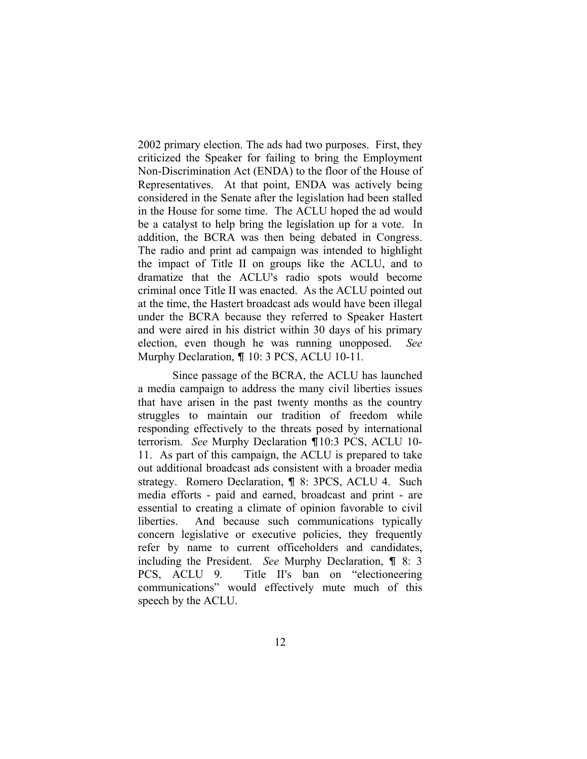2002 primary election. The ads had two purposes. First, they criticized the Speaker for failing to bring the Employment Non-Discrimination Act (ENDA) to the floor of the House of Representatives. At that point, ENDA was actively being considered in the Senate after the legislation had been stalled in the House for some time. The ACLU hoped the ad would be a catalyst to help bring the legislation up for a vote. In addition, the BCRA was then being debated in Congress. The radio and print ad campaign was intended to highlight the impact of Title II on groups like the ACLU, and to dramatize that the ACLU's radio spots would become criminal once Title II was enacted. As the ACLU pointed out at the time, the Hastert broadcast ads would have been illegal under the BCRA because they referred to Speaker Hastert and were aired in his district within 30 days of his primary election, even though he was running unopposed. *See* Murphy Declaration,  $\P$  10: 3 PCS, ACLU 10-11.

Since passage of the BCRA, the ACLU has launched a media campaign to address the many civil liberties issues that have arisen in the past twenty months as the country struggles to maintain our tradition of freedom while responding effectively to the threats posed by international terrorism. *See* Murphy Declaration ¶10:3 PCS, ACLU 10-11. As part of this campaign, the ACLU is prepared to take out additional broadcast ads consistent with a broader media strategy. Romero Declaration, **1** 8: 3PCS, ACLU 4. Such media efforts - paid and earned, broadcast and print - are essential to creating a climate of opinion favorable to civil liberties. And because such communications typically concern legislative or executive policies, they frequently refer by name to current officeholders and candidates, including the President. *See* Murphy Declaration, ¶ 8: 3 PCS, ACLU 9. Title II's ban on "electioneering communications" would effectively mute much of this speech by the ACLU.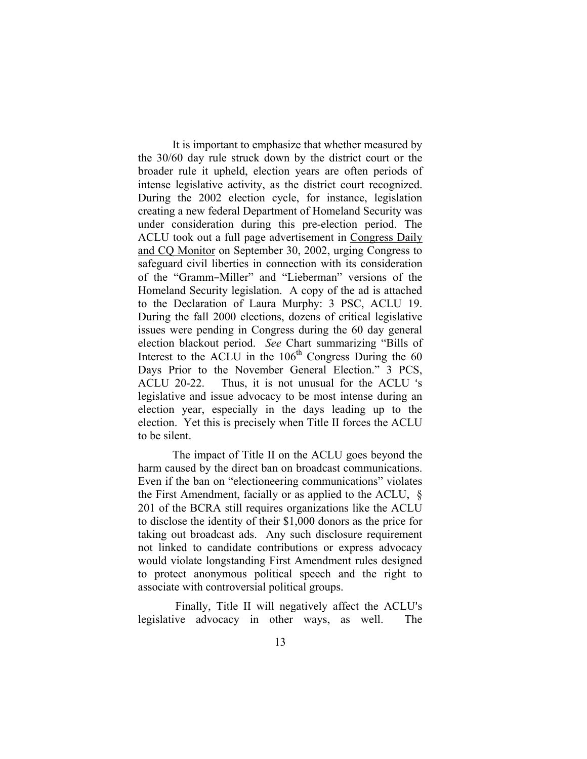It is important to emphasize that whether measured by the 30/60 day rule struck down by the district court or the broader rule it upheld, election years are often periods of intense legislative activity, as the district court recognized. During the 2002 election cycle, for instance, legislation creating a new federal Department of Homeland Security was under consideration during this pre-election period. The ACLU took out a full page advertisement in Congress Daily and CQ Monitor on September 30, 2002, urging Congress to safeguard civil liberties in connection with its consideration of the "Gramm-Miller" and "Lieberman" versions of the Homeland Security legislation. A copy of the ad is attached to the Declaration of Laura Murphy: 3 PSC, ACLU 19. During the fall 2000 elections, dozens of critical legislative issues were pending in Congress during the 60 day general election blackout period. *See* Chart summarizing "Bills of Interest to the ACLU in the  $106<sup>th</sup>$  Congress During the 60 Days Prior to the November General Election." 3 PCS, ACLU 20-22. Thus, it is not unusual for the ACLU 's legislative and issue advocacy to be most intense during an election year, especially in the days leading up to the election. Yet this is precisely when Title II forces the ACLU to be silent.

The impact of Title II on the ACLU goes beyond the harm caused by the direct ban on broadcast communications. Even if the ban on "electioneering communications" violates the First Amendment, facially or as applied to the ACLU, § 201 of the BCRA still requires organizations like the ACLU to disclose the identity of their \$1,000 donors as the price for taking out broadcast ads. Any such disclosure requirement not linked to candidate contributions or express advocacy would violate longstanding First Amendment rules designed to protect anonymous political speech and the right to associate with controversial political groups.

Finally, Title II will negatively affect the ACLU's legislative advocacy in other ways, as well. The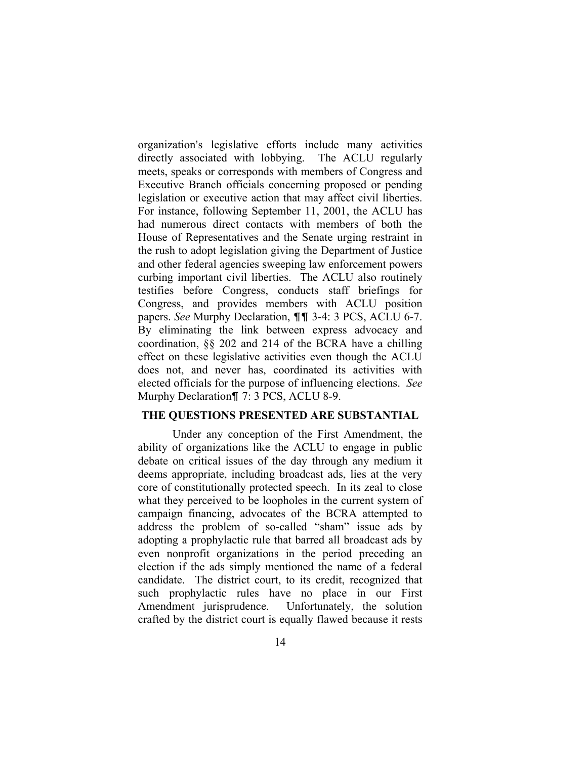organization's legislative efforts include many activities directly associated with lobbying. The ACLU regularly meets, speaks or corresponds with members of Congress and Executive Branch officials concerning proposed or pending legislation or executive action that may affect civil liberties. For instance, following September 11, 2001, the ACLU has had numerous direct contacts with members of both the House of Representatives and the Senate urging restraint in the rush to adopt legislation giving the Department of Justice and other federal agencies sweeping law enforcement powers curbing important civil liberties. The ACLU also routinely testifies before Congress, conducts staff briefings for Congress, and provides members with ACLU position papers. *See* Murphy Declaration, **11** 3-4: 3 PCS, ACLU 6-7. By eliminating the link between express advocacy and coordination, §§ 202 and 214 of the BCRA have a chilling effect on these legislative activities even though the ACLU does not, and never has, coordinated its activities with elected officials for the purpose of influencing elections. *See* Murphy Declaration¶ 7: 3 PCS, ACLU 8-9.

#### **THE QUESTIONS PRESENTED ARE SUBSTANTIAL**

Under any conception of the First Amendment, the ability of organizations like the ACLU to engage in public debate on critical issues of the day through any medium it deems appropriate, including broadcast ads, lies at the very core of constitutionally protected speech. In its zeal to close what they perceived to be loopholes in the current system of campaign financing, advocates of the BCRA attempted to address the problem of so-called "sham" issue ads by adopting a prophylactic rule that barred all broadcast ads by even nonprofit organizations in the period preceding an election if the ads simply mentioned the name of a federal candidate. The district court, to its credit, recognized that such prophylactic rules have no place in our First Amendment jurisprudence. Unfortunately, the solution crafted by the district court is equally flawed because it rests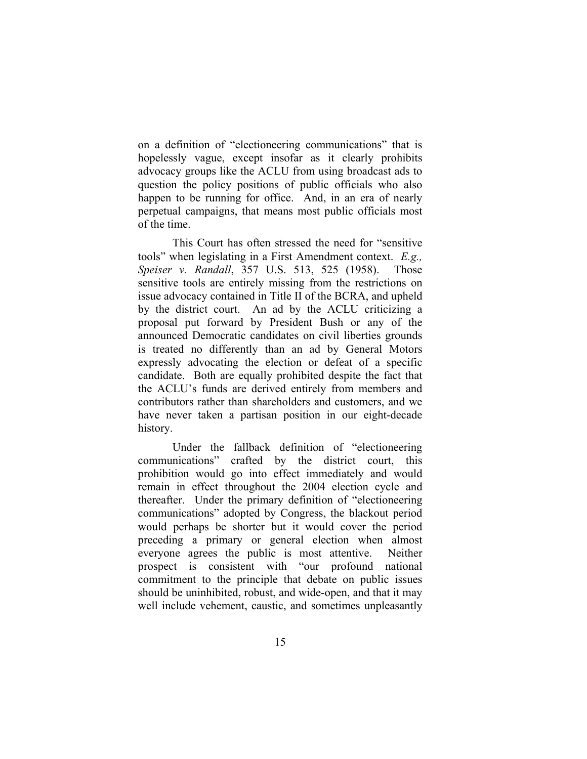on a definition of "electioneering communications" that is hopelessly vague, except insofar as it clearly prohibits advocacy groups like the ACLU from using broadcast ads to question the policy positions of public officials who also happen to be running for office. And, in an era of nearly perpetual campaigns, that means most public officials most of the time.

This Court has often stressed the need for "sensitive tools" when legislating in a First Amendment context. *E.g., Speiser v. Randall*, 357 U.S. 513, 525 (1958). Those sensitive tools are entirely missing from the restrictions on issue advocacy contained in Title II of the BCRA, and upheld by the district court. An ad by the ACLU criticizing a proposal put forward by President Bush or any of the announced Democratic candidates on civil liberties grounds is treated no differently than an ad by General Motors expressly advocating the election or defeat of a specific candidate. Both are equally prohibited despite the fact that the ACLU's funds are derived entirely from members and contributors rather than shareholders and customers, and we have never taken a partisan position in our eight-decade history.

Under the fallback definition of "electioneering communications" crafted by the district court, this prohibition would go into effect immediately and would remain in effect throughout the 2004 election cycle and thereafter. Under the primary definition of "electioneering communications" adopted by Congress, the blackout period would perhaps be shorter but it would cover the period preceding a primary or general election when almost everyone agrees the public is most attentive. Neither prospect is consistent with "our profound national commitment to the principle that debate on public issues should be uninhibited, robust, and wide-open, and that it may well include vehement, caustic, and sometimes unpleasantly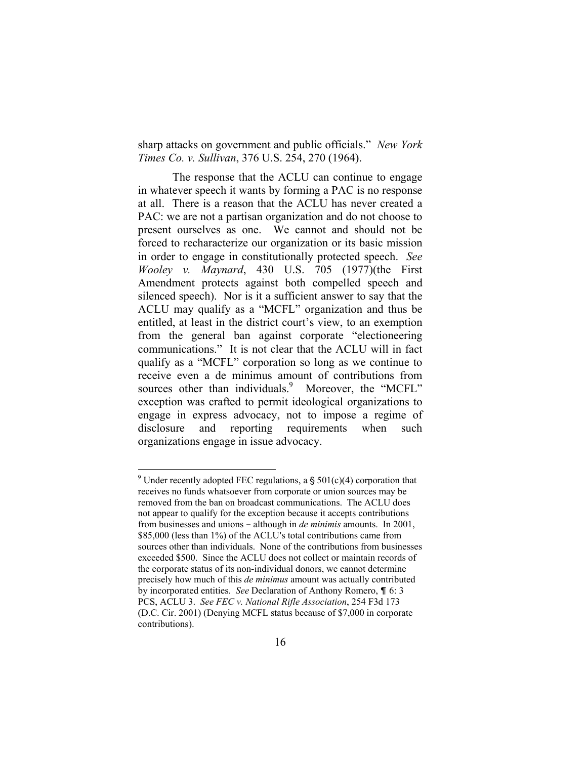sharp attacks on government and public officials." *New York Times Co. v. Sullivan*, 376 U.S. 254, 270 (1964).

The response that the ACLU can continue to engage in whatever speech it wants by forming a PAC is no response at all. There is a reason that the ACLU has never created a PAC: we are not a partisan organization and do not choose to present ourselves as one. We cannot and should not be forced to recharacterize our organization or its basic mission in order to engage in constitutionally protected speech. *See Wooley v. Maynard*, 430 U.S. 705 (1977)(the First Amendment protects against both compelled speech and silenced speech). Nor is it a sufficient answer to say that the ACLU may qualify as a "MCFL" organization and thus be entitled, at least in the district court's view, to an exemption from the general ban against corporate "electioneering communications." It is not clear that the ACLU will in fact qualify as a "MCFL" corporation so long as we continue to receive even a de minimus amount of contributions from sources other than individuals.<sup>[9](#page-21-0)</sup> Moreover, the "MCFL" exception was crafted to permit ideological organizations to engage in express advocacy, not to impose a regime of disclosure and reporting requirements when such organizations engage in issue advocacy.

1

<span id="page-21-0"></span><sup>&</sup>lt;sup>9</sup> Under recently adopted FEC regulations, a  $\S 501(c)(4)$  corporation that receives no funds whatsoever from corporate or union sources may be removed from the ban on broadcast communications. The ACLU does not appear to qualify for the exception because it accepts contributions from businesses and unions - although in *de minimis* amounts. In 2001, \$85,000 (less than 1%) of the ACLU's total contributions came from sources other than individuals. None of the contributions from businesses exceeded \$500. Since the ACLU does not collect or maintain records of the corporate status of its non-individual donors, we cannot determine precisely how much of this *de minimus* amount was actually contributed by incorporated entities. *See* Declaration of Anthony Romero, **[6: 3]** PCS, ACLU 3. *See FEC v. National Rifle Association*, 254 F3d 173 (D.C. Cir. 2001) (Denying MCFL status because of \$7,000 in corporate contributions).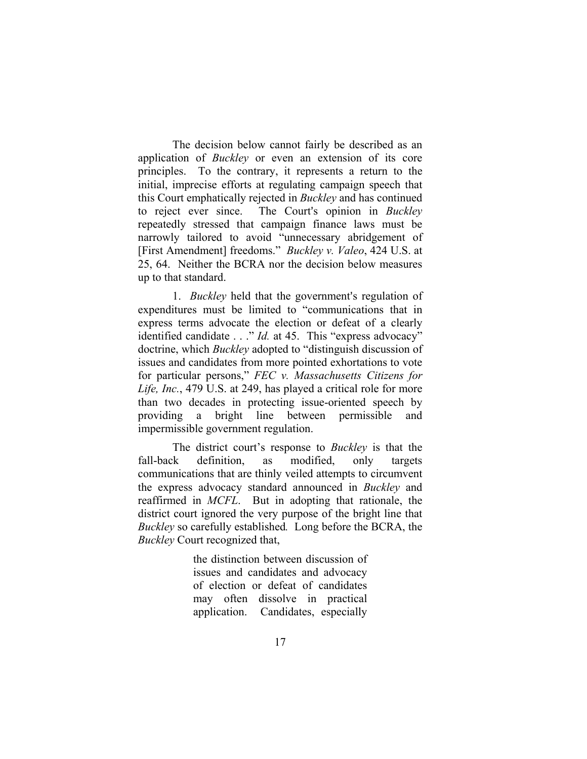The decision below cannot fairly be described as an application of *Buckley* or even an extension of its core principles. To the contrary, it represents a return to the initial, imprecise efforts at regulating campaign speech that this Court emphatically rejected in *Buckley* and has continued to reject ever since. The Court's opinion in *Buckley* repeatedly stressed that campaign finance laws must be narrowly tailored to avoid "unnecessary abridgement of [First Amendment] freedoms." *Buckley v. Valeo*, 424 U.S. at 25, 64. Neither the BCRA nor the decision below measures up to that standard.

1. *Buckley* held that the government's regulation of expenditures must be limited to "communications that in express terms advocate the election or defeat of a clearly identified candidate . . ." *Id.* at 45. This "express advocacy" doctrine, which *Buckley* adopted to "distinguish discussion of issues and candidates from more pointed exhortations to vote for particular persons," *FEC v. Massachusetts Citizens for Life, Inc.*, 479 U.S. at 249, has played a critical role for more than two decades in protecting issue-oriented speech by providing a bright line between permissible and impermissible government regulation.

The district court's response to *Buckley* is that the fall-back definition, as modified, only targets communications that are thinly veiled attempts to circumvent the express advocacy standard announced in *Buckley* and reaffirmed in *MCFL*. But in adopting that rationale, the district court ignored the very purpose of the bright line that *Buckley* so carefully established*.* Long before the BCRA, the *Buckley* Court recognized that,

> the distinction between discussion of issues and candidates and advocacy of election or defeat of candidates may often dissolve in practical application. Candidates, especially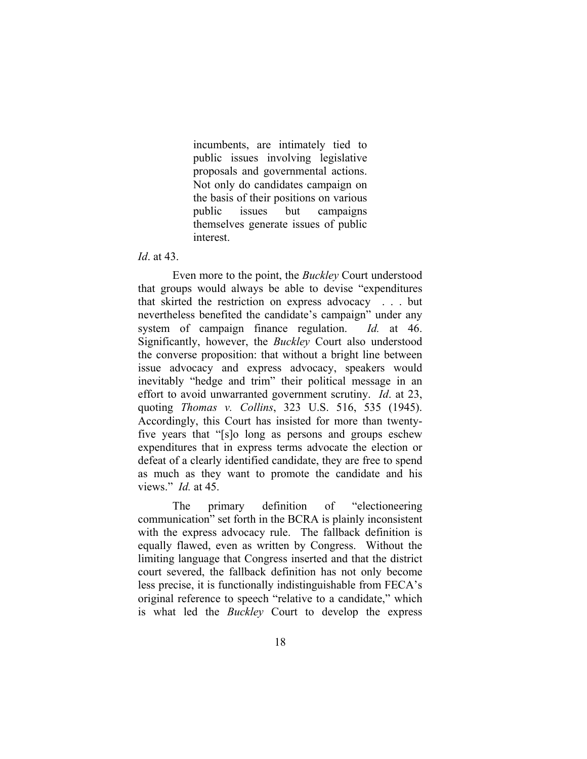incumbents, are intimately tied to public issues involving legislative proposals and governmental actions. Not only do candidates campaign on the basis of their positions on various public issues but campaigns themselves generate issues of public interest.

*Id*. at 43.

Even more to the point, the *Buckley* Court understood that groups would always be able to devise "expenditures that skirted the restriction on express advocacy . . . but nevertheless benefited the candidate's campaign" under any system of campaign finance regulation. *Id.* at 46. Significantly, however, the *Buckley* Court also understood the converse proposition: that without a bright line between issue advocacy and express advocacy, speakers would inevitably "hedge and trim" their political message in an effort to avoid unwarranted government scrutiny. *Id*. at 23, quoting *Thomas v. Collins*, 323 U.S. 516, 535 (1945). Accordingly, this Court has insisted for more than twentyfive years that "[s]o long as persons and groups eschew expenditures that in express terms advocate the election or defeat of a clearly identified candidate, they are free to spend as much as they want to promote the candidate and his views." *Id.* at 45.

The primary definition of "electioneering communication" set forth in the BCRA is plainly inconsistent with the express advocacy rule. The fallback definition is equally flawed, even as written by Congress. Without the limiting language that Congress inserted and that the district court severed, the fallback definition has not only become less precise, it is functionally indistinguishable from FECA's original reference to speech "relative to a candidate," which is what led the *Buckley* Court to develop the express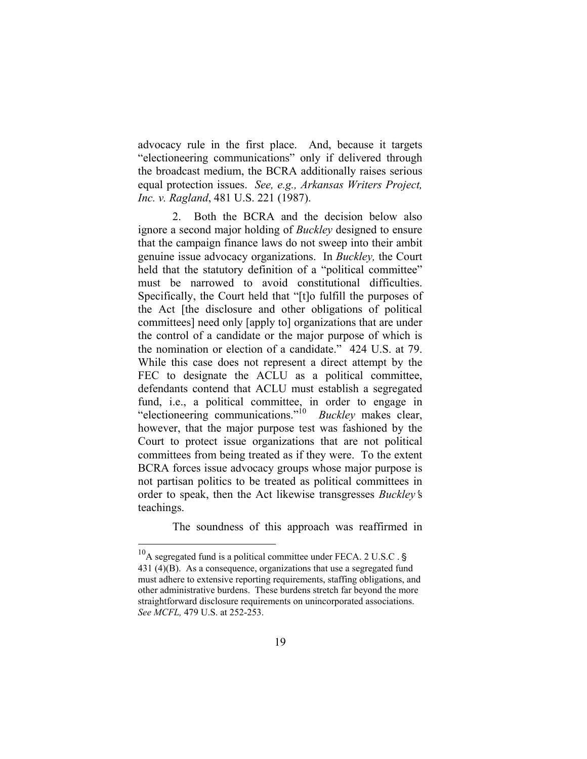advocacy rule in the first place. And, because it targets "electioneering communications" only if delivered through the broadcast medium, the BCRA additionally raises serious equal protection issues. *See, e.g., Arkansas Writers Project, Inc. v. Ragland*, 481 U.S. 221 (1987).

2. Both the BCRA and the decision below also ignore a second major holding of *Buckley* designed to ensure that the campaign finance laws do not sweep into their ambit genuine issue advocacy organizations. In *Buckley,* the Court held that the statutory definition of a "political committee" must be narrowed to avoid constitutional difficulties. Specifically, the Court held that "[t]o fulfill the purposes of the Act [the disclosure and other obligations of political committees] need only [apply to] organizations that are under the control of a candidate or the major purpose of which is the nomination or election of a candidate." 424 U.S. at 79. While this case does not represent a direct attempt by the FEC to designate the ACLU as a political committee, defendants contend that ACLU must establish a segregated fund, i.e., a political committee, in order to engage in "electioneering communications.["10](#page-24-0) *Buckley* makes clear, however, that the major purpose test was fashioned by the Court to protect issue organizations that are not political committees from being treated as if they were. To the extent BCRA forces issue advocacy groups whose major purpose is not partisan politics to be treated as political committees in order to speak, then the Act likewise transgresses *Buckley's* teachings.

The soundness of this approach was reaffirmed in

<span id="page-24-0"></span> $^{10}$ A segregated fund is a political committee under FECA. 2 U.S.C. § 431 (4)(B). As a consequence, organizations that use a segregated fund must adhere to extensive reporting requirements, staffing obligations, and other administrative burdens. These burdens stretch far beyond the more straightforward disclosure requirements on unincorporated associations. *See MCFL,* 479 U.S. at 252-253.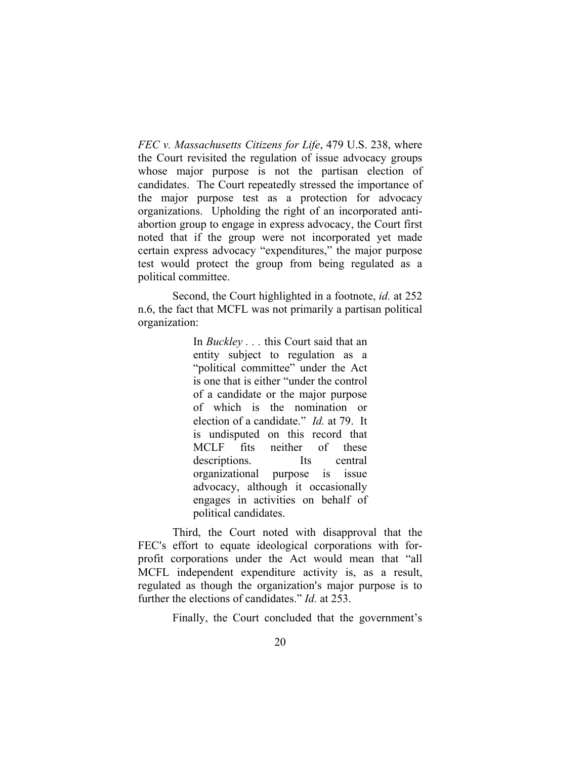*FEC v. Massachusetts Citizens for Life*, 479 U.S. 238, where the Court revisited the regulation of issue advocacy groups whose major purpose is not the partisan election of candidates. The Court repeatedly stressed the importance of the major purpose test as a protection for advocacy organizations. Upholding the right of an incorporated antiabortion group to engage in express advocacy, the Court first noted that if the group were not incorporated yet made certain express advocacy "expenditures," the major purpose test would protect the group from being regulated as a political committee.

Second, the Court highlighted in a footnote, *id.* at 252 n.6, the fact that MCFL was not primarily a partisan political organization:

> In *Buckley . . .* this Court said that an entity subject to regulation as a "political committee" under the Act is one that is either "under the control of a candidate or the major purpose of which is the nomination or election of a candidate." *Id.* at 79. It is undisputed on this record that MCLF fits neither of these descriptions. Its central organizational purpose is issue advocacy, although it occasionally engages in activities on behalf of political candidates.

Third, the Court noted with disapproval that the FEC's effort to equate ideological corporations with forprofit corporations under the Act would mean that "all MCFL independent expenditure activity is, as a result, regulated as though the organization's major purpose is to further the elections of candidates." *Id.* at 253.

Finally, the Court concluded that the government's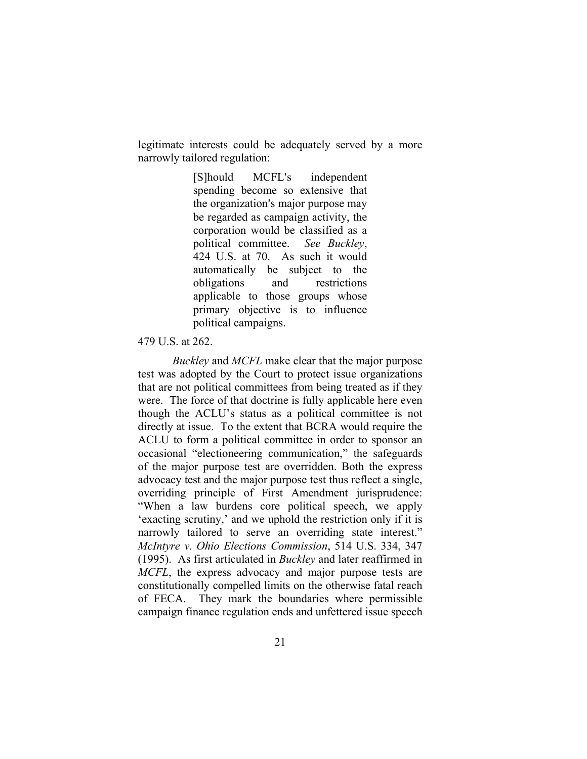legitimate interests could be adequately served by a more narrowly tailored regulation:

> [S]hould MCFL's independent spending become so extensive that the organization's major purpose may be regarded as campaign activity, the corporation would be classified as a political committee. *See Buckley*, 424 U.S. at 70. As such it would automatically be subject to the obligations and restrictions applicable to those groups whose primary objective is to influence political campaigns.

#### 479 U.S. at 262.

*Buckley* and *MCFL* make clear that the major purpose test was adopted by the Court to protect issue organizations that are not political committees from being treated as if they were. The force of that doctrine is fully applicable here even though the ACLU's status as a political committee is not directly at issue. To the extent that BCRA would require the ACLU to form a political committee in order to sponsor an occasional "electioneering communication," the safeguards of the major purpose test are overridden. Both the express advocacy test and the major purpose test thus reflect a single, overriding principle of First Amendment jurisprudence: "When a law burdens core political speech, we apply 'exacting scrutiny,' and we uphold the restriction only if it is narrowly tailored to serve an overriding state interest." *McIntyre v. Ohio Elections Commission*, 514 U.S. 334, 347 (1995). As first articulated in *Buckley* and later reaffirmed in *MCFL*, the express advocacy and major purpose tests are constitutionally compelled limits on the otherwise fatal reach of FECA. They mark the boundaries where permissible campaign finance regulation ends and unfettered issue speech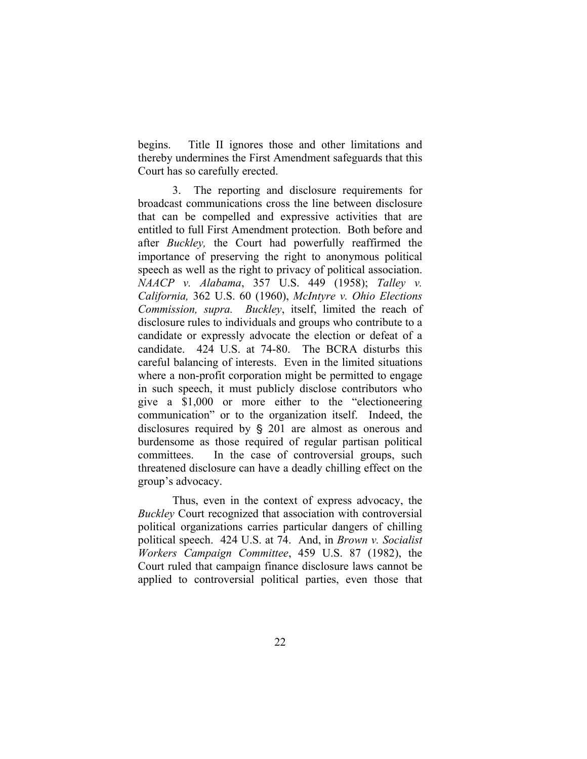begins. Title II ignores those and other limitations and thereby undermines the First Amendment safeguards that this Court has so carefully erected.

3. The reporting and disclosure requirements for broadcast communications cross the line between disclosure that can be compelled and expressive activities that are entitled to full First Amendment protection. Both before and after *Buckley,* the Court had powerfully reaffirmed the importance of preserving the right to anonymous political speech as well as the right to privacy of political association. *NAACP v. Alabama*, 357 U.S. 449 (1958); *Talley v. California,* 362 U.S. 60 (1960), *McIntyre v. Ohio Elections Commission, supra. Buckley*, itself, limited the reach of disclosure rules to individuals and groups who contribute to a candidate or expressly advocate the election or defeat of a candidate. 424 U.S. at 74-80. The BCRA disturbs this careful balancing of interests. Even in the limited situations where a non-profit corporation might be permitted to engage in such speech, it must publicly disclose contributors who give a \$1,000 or more either to the "electioneering communication" or to the organization itself. Indeed, the disclosures required by  $\S$  201 are almost as onerous and burdensome as those required of regular partisan political committees. In the case of controversial groups, such threatened disclosure can have a deadly chilling effect on the group's advocacy.

Thus, even in the context of express advocacy, the *Buckley* Court recognized that association with controversial political organizations carries particular dangers of chilling political speech. 424 U.S. at 74. And, in *Brown v. Socialist Workers Campaign Committee*, 459 U.S. 87 (1982), the Court ruled that campaign finance disclosure laws cannot be applied to controversial political parties, even those that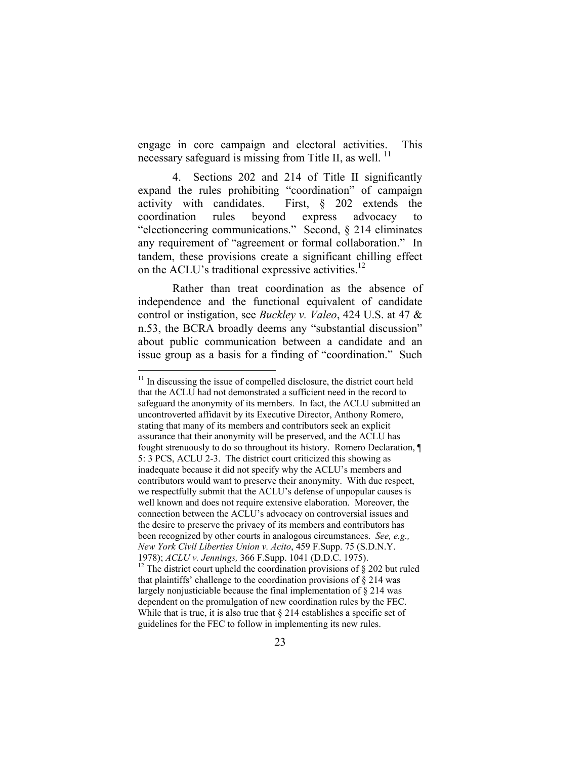engage in core campaign and electoral activities. This necessary safeguard is missing from Title II, as well.<sup>11</sup>

4. Sections 202 and 214 of Title II significantly expand the rules prohibiting "coordination" of campaign activity with candidates. First, § 202 extends the coordination rules beyond express advocacy to "electioneering communications." Second, § 214 eliminates any requirement of "agreement or formal collaboration." In tandem, these provisions create a significant chilling effect on the ACLU's traditional expressive activities.<sup>[12](#page-28-1)</sup>

Rather than treat coordination as the absence of independence and the functional equivalent of candidate control or instigation, see *Buckley v. Valeo*, 424 U.S. at 47 & n.53, the BCRA broadly deems any "substantial discussion" about public communication between a candidate and an issue group as a basis for a finding of "coordination." Such

<span id="page-28-0"></span> $11$  In discussing the issue of compelled disclosure, the district court held that the ACLU had not demonstrated a sufficient need in the record to safeguard the anonymity of its members. In fact, the ACLU submitted an uncontroverted affidavit by its Executive Director, Anthony Romero, stating that many of its members and contributors seek an explicit assurance that their anonymity will be preserved, and the ACLU has fought strenuously to do so throughout its history. Romero Declaration, ¶ 5: 3 PCS, ACLU 2-3.The district court criticized this showing as inadequate because it did not specify why the ACLU's members and contributors would want to preserve their anonymity. With due respect, we respectfully submit that the ACLU's defense of unpopular causes is well known and does not require extensive elaboration. Moreover, the connection between the ACLU's advocacy on controversial issues and the desire to preserve the privacy of its members and contributors has been recognized by other courts in analogous circumstances. *See, e.g., New York Civil Liberties Union v. Acito*, 459 F.Supp. 75 (S.D.N.Y. 1978); *ACLU v. Jennings*, 366 F.Supp. 1041 (D.D.C. 1975).<br><sup>12</sup> The district court upheld the coordination provisions of § 202 but ruled

<span id="page-28-1"></span>that plaintiffs' challenge to the coordination provisions of  $\S$  214 was largely nonjusticiable because the final implementation of § 214 was dependent on the promulgation of new coordination rules by the FEC. While that is true, it is also true that  $\S 214$  establishes a specific set of guidelines for the FEC to follow in implementing its new rules.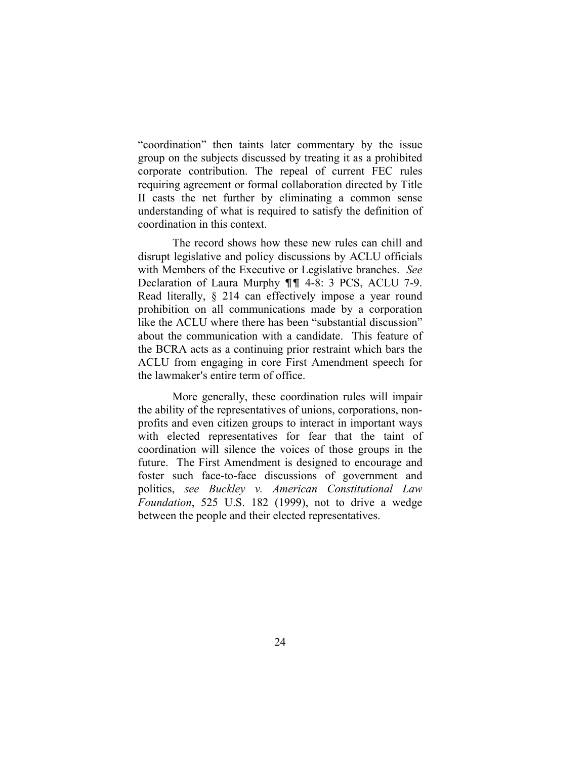"coordination" then taints later commentary by the issue group on the subjects discussed by treating it as a prohibited corporate contribution. The repeal of current FEC rules requiring agreement or formal collaboration directed by Title II casts the net further by eliminating a common sense understanding of what is required to satisfy the definition of coordination in this context.

The record shows how these new rules can chill and disrupt legislative and policy discussions by ACLU officials with Members of the Executive or Legislative branches. *See*  Declaration of Laura Murphy  $\P\P$  4-8: 3 PCS, ACLU 7-9. Read literally, § 214 can effectively impose a year round prohibition on all communications made by a corporation like the ACLU where there has been "substantial discussion" about the communication with a candidate. This feature of the BCRA acts as a continuing prior restraint which bars the ACLU from engaging in core First Amendment speech for the lawmaker's entire term of office.

More generally, these coordination rules will impair the ability of the representatives of unions, corporations, nonprofits and even citizen groups to interact in important ways with elected representatives for fear that the taint of coordination will silence the voices of those groups in the future. The First Amendment is designed to encourage and foster such face-to-face discussions of government and politics, *see Buckley v. American Constitutional Law Foundation*, 525 U.S. 182 (1999), not to drive a wedge between the people and their elected representatives.